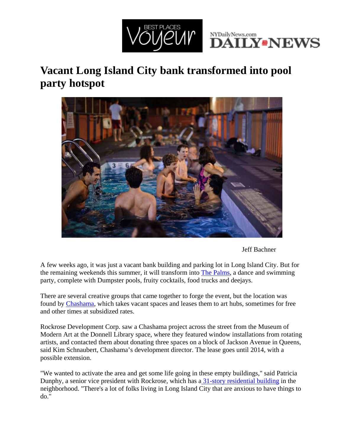



## **Vacant Long Island City bank transformed into pool party hotspot**



Jeff Bachner

A few weeks ago, it was just a vacant bank building and parking lot in Long Island City. But for the remaining weekends this summer, it will transform into The Palms, a dance and swimming party, complete with Dumpster pools, fruity cocktails, food trucks and deejays.

There are several creative groups that came together to forge the event, but the location was found by Chashama, which takes vacant spaces and leases them to art hubs, sometimes for free and other times at subsidized rates.

Rockrose Development Corp. saw a Chashama project across the street from the Museum of Modern Art at the Donnell Library space, where they featured window installations from rotating artists, and contacted them about donating three spaces on a block of Jackson Avenue in Queens, said Kim Schnaubert, Chashama's development director. The lease goes until 2014, with a possible extension.

"We wanted to activate the area and get some life going in these empty buildings," said Patricia Dunphy, a senior vice president with Rockrose, which has a 31-story residential building in the neighborhood. "There's a lot of folks living in Long Island City that are anxious to have things to do."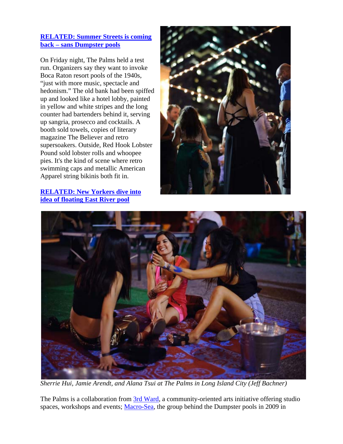## **RELATED: Summer Streets is coming back – sans Dumpster pools**

On Friday night, The Palms held a test run. Organizers say they want to invoke Boca Raton resort pools of the 1940s, "just with more music, spectacle and hedonism." The old bank had been spiffed up and looked like a hotel lobby, painted in yellow and white stripes and the long counter had bartenders behind it, serving up sangria, prosecco and cocktails. A booth sold towels, copies of literary magazine The Believer and retro supersoakers. Outside, Red Hook Lobster Pound sold lobster rolls and whoopee pies. It's the kind of scene where retro swimming caps and metallic American Apparel string bikinis both fit in.

**RELATED: New Yorkers dive into idea of floating East River pool**





*Sherrie Hui, Jamie Arendt, and Alana Tsui at The Palms in Long Island City (Jeff Bachner)*

The Palms is a collaboration from 3rd Ward, a community-oriented arts initiative offering studio spaces, workshops and events; Macro-Sea, the group behind the Dumpster pools in 2009 in